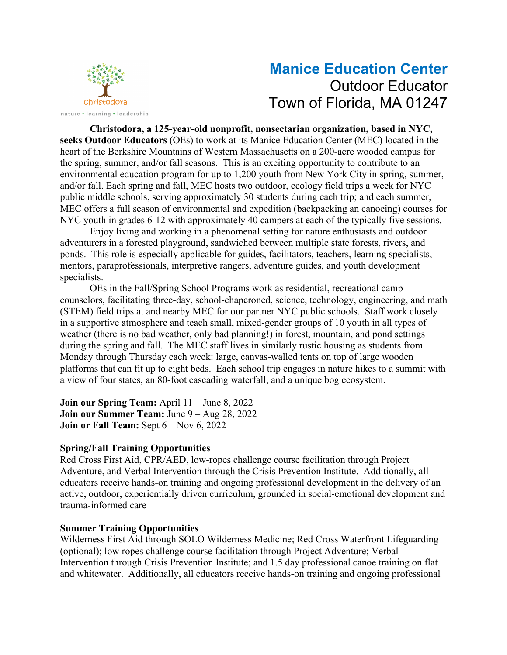

# **Manice Education Center** Outdoor Educator Town of Florida, MA 01247

**Christodora, a 125-year-old nonprofit, nonsectarian organization, based in NYC, seeks Outdoor Educators** (OEs) to work at its Manice Education Center (MEC) located in the heart of the Berkshire Mountains of Western Massachusetts on a 200-acre wooded campus for the spring, summer, and/or fall seasons. This is an exciting opportunity to contribute to an environmental education program for up to 1,200 youth from New York City in spring, summer, and/or fall. Each spring and fall, MEC hosts two outdoor, ecology field trips a week for NYC public middle schools, serving approximately 30 students during each trip; and each summer, MEC offers a full season of environmental and expedition (backpacking an canoeing) courses for NYC youth in grades 6-12 with approximately 40 campers at each of the typically five sessions.

Enjoy living and working in a phenomenal setting for nature enthusiasts and outdoor adventurers in a forested playground, sandwiched between multiple state forests, rivers, and ponds. This role is especially applicable for guides, facilitators, teachers, learning specialists, mentors, paraprofessionals, interpretive rangers, adventure guides, and youth development specialists.

OEs in the Fall/Spring School Programs work as residential, recreational camp counselors, facilitating three-day, school-chaperoned, science, technology, engineering, and math (STEM) field trips at and nearby MEC for our partner NYC public schools. Staff work closely in a supportive atmosphere and teach small, mixed-gender groups of 10 youth in all types of weather (there is no bad weather, only bad planning!) in forest, mountain, and pond settings during the spring and fall. The MEC staff lives in similarly rustic housing as students from Monday through Thursday each week: large, canvas-walled tents on top of large wooden platforms that can fit up to eight beds. Each school trip engages in nature hikes to a summit with a view of four states, an 80-foot cascading waterfall, and a unique bog ecosystem.

**Join our Spring Team:** April 11 – June 8, 2022 **Join our Summer Team:** June 9 – Aug 28, 2022 **Join or Fall Team:** Sept 6 – Nov 6, 2022

## **Spring/Fall Training Opportunities**

Red Cross First Aid, CPR/AED, low-ropes challenge course facilitation through Project Adventure, and Verbal Intervention through the Crisis Prevention Institute. Additionally, all educators receive hands-on training and ongoing professional development in the delivery of an active, outdoor, experientially driven curriculum, grounded in social-emotional development and trauma-informed care

## **Summer Training Opportunities**

Wilderness First Aid through SOLO Wilderness Medicine; Red Cross Waterfront Lifeguarding (optional); low ropes challenge course facilitation through Project Adventure; Verbal Intervention through Crisis Prevention Institute; and 1.5 day professional canoe training on flat and whitewater. Additionally, all educators receive hands-on training and ongoing professional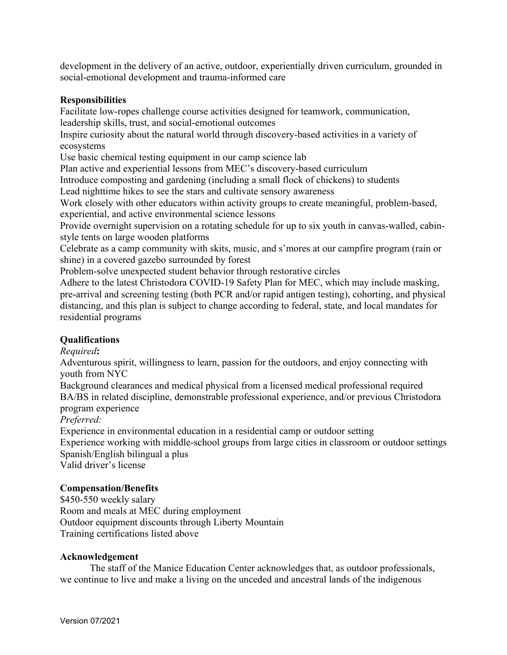development in the delivery of an active, outdoor, experientially driven curriculum, grounded in social-emotional development and trauma-informed care

#### **Responsibilities**

Facilitate low-ropes challenge course activities designed for teamwork, communication, leadership skills, trust, and social-emotional outcomes

Inspire curiosity about the natural world through discovery-based activities in a variety of ecosystems

Use basic chemical testing equipment in our camp science lab

Plan active and experiential lessons from MEC's discovery-based curriculum

Introduce composting and gardening (including a small flock of chickens) to students

Lead nighttime hikes to see the stars and cultivate sensory awareness

Work closely with other educators within activity groups to create meaningful, problem-based, experiential, and active environmental science lessons

Provide overnight supervision on a rotating schedule for up to six youth in canvas-walled, cabinstyle tents on large wooden platforms

Celebrate as a camp community with skits, music, and s'mores at our campfire program (rain or shine) in a covered gazebo surrounded by forest

Problem-solve unexpected student behavior through restorative circles

Adhere to the latest Christodora COVID-19 Safety Plan for MEC, which may include masking, pre-arrival and screening testing (both PCR and/or rapid antigen testing), cohorting, and physical distancing, and this plan is subject to change according to federal, state, and local mandates for residential programs

## **Qualifications**

*Required***:**

Adventurous spirit, willingness to learn, passion for the outdoors, and enjoy connecting with youth from NYC

Background clearances and medical physical from a licensed medical professional required BA/BS in related discipline, demonstrable professional experience, and/or previous Christodora program experience

*Preferred:*

Experience in environmental education in a residential camp or outdoor setting

Experience working with middle-school groups from large cities in classroom or outdoor settings Spanish/English bilingual a plus

Valid driver's license

### **Compensation/Benefits**

\$450-550 weekly salary Room and meals at MEC during employment Outdoor equipment discounts through Liberty Mountain Training certifications listed above

#### **Acknowledgement**

The staff of the Manice Education Center acknowledges that, as outdoor professionals, we continue to live and make a living on the unceded and ancestral lands of the indigenous